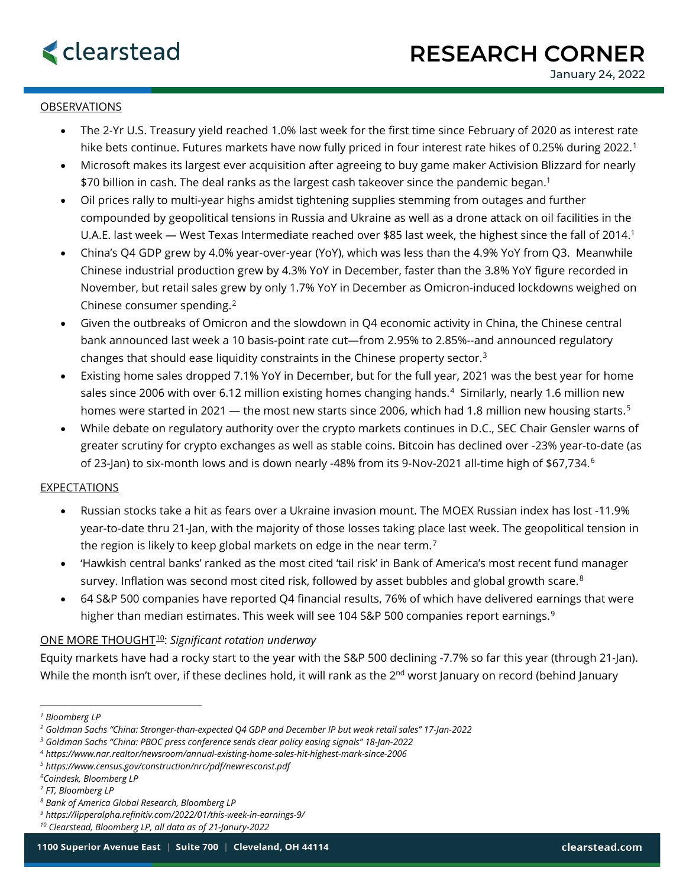## OBSERVATIONS

- The 2-Yr U.S. Treasury yield reached 1.0% last week for the first time since February of 2020 as interest rate hike bets continue. Futures markets have now fully priced in four interest rate hikes of 0.25% during 2022.<sup>[1](#page-0-0)</sup>
- Microsoft makes its largest ever acquisition after agreeing to buy game maker Activision Blizzard for nearly \$70 billion in cash. The deal ranks as the largest cash takeover since the pandemic began.1
- Oil prices rally to multi-year highs amidst tightening supplies stemming from outages and further compounded by geopolitical tensions in Russia and Ukraine as well as a drone attack on oil facilities in the U.A.E. last week — West Texas Intermediate reached over \$85 last week, the highest since the fall of 2014.<sup>1</sup>
- China's Q4 GDP grew by 4.0% year-over-year (YoY), which was less than the 4.9% YoY from Q3. Meanwhile Chinese industrial production grew by 4.3% YoY in December, faster than the 3.8% YoY figure recorded in November, but retail sales grew by only 1.7% YoY in December as Omicron-induced lockdowns weighed on Chinese consumer spending.[2](#page-0-1)
- Given the outbreaks of Omicron and the slowdown in Q4 economic activity in China, the Chinese central bank announced last week a 10 basis-point rate cut—from 2.95% to 2.85%--and announced regulatory changes that should ease liquidity constraints in the Chinese property sector.<sup>[3](#page-0-2)</sup>
- Existing home sales dropped 7.1% YoY in December, but for the full year, 2021 was the best year for home sales since 2006 with over 6.12 million existing homes changing hands.<sup>4</sup> Similarly, nearly 1.6 million new homes were started in 2021 — the most new starts since 2006, which had 1.8 million new housing starts.<sup>[5](#page-0-4)</sup>
- While debate on regulatory authority over the crypto markets continues in D.C., SEC Chair Gensler warns of greater scrutiny for crypto exchanges as well as stable coins. Bitcoin has declined over -23% year-to-date (as of 23-Jan) to six-month lows and is down nearly -48% from its 9-Nov-2021 all-time high of \$[6](#page-0-5)7,734.<sup>6</sup>

### EXPECTATIONS

- Russian stocks take a hit as fears over a Ukraine invasion mount. The MOEX Russian index has lost -11.9% year-to-date thru 21-Jan, with the majority of those losses taking place last week. The geopolitical tension in the region is likely to keep global markets on edge in the near term.<sup>[7](#page-0-6)</sup>
- 'Hawkish central banks' ranked as the most cited 'tail risk' in Bank of America's most recent fund manager survey. Inflation was second most cited risk, followed by asset bubbles and global growth scare.<sup>[8](#page-0-7)</sup>
- 64 S&P 500 companies have reported Q4 financial results, 76% of which have delivered earnings that were higher than median estimates. This week will see 104 S&P 500 companies report earnings.<sup>[9](#page-0-8)</sup>

## ONE MORE THOUGHT[10:](#page-0-9) *Significant rotation underway*

Equity markets have had a rocky start to the year with the S&P 500 declining -7.7% so far this year (through 21-Jan). While the month isn't over, if these declines hold, it will rank as the 2<sup>nd</sup> worst January on record (behind January

<span id="page-0-0"></span>*<sup>1</sup> Bloomberg LP*

<span id="page-0-1"></span>*<sup>2</sup> Goldman Sachs "China: Stronger-than-expected Q4 GDP and December IP but weak retail sales" 17-Jan-2022*

<span id="page-0-2"></span>*<sup>3</sup> Goldman Sachs "China: PBOC press conference sends clear policy easing signals" 18-Jan-2022*

<span id="page-0-3"></span>*<sup>4</sup> https://www.nar.realtor/newsroom/annual-existing-home-sales-hit-highest-mark-since-2006*

<span id="page-0-5"></span><span id="page-0-4"></span>*<sup>5</sup> https://www.census.gov/construction/nrc/pdf/newresconst.pdf*

*<sup>6</sup> Coindesk, Bloomberg LP*

<span id="page-0-6"></span>*<sup>7</sup> FT, Bloomberg LP*

<span id="page-0-7"></span>*<sup>8</sup> Bank of America Global Research, Bloomberg LP*

<span id="page-0-8"></span>*<sup>9</sup> https://lipperalpha.refinitiv.com/2022/01/this-week-in-earnings-9/*

<span id="page-0-9"></span>*<sup>10</sup> Clearstead, Bloomberg LP, all data as of 21-Janury-2022*